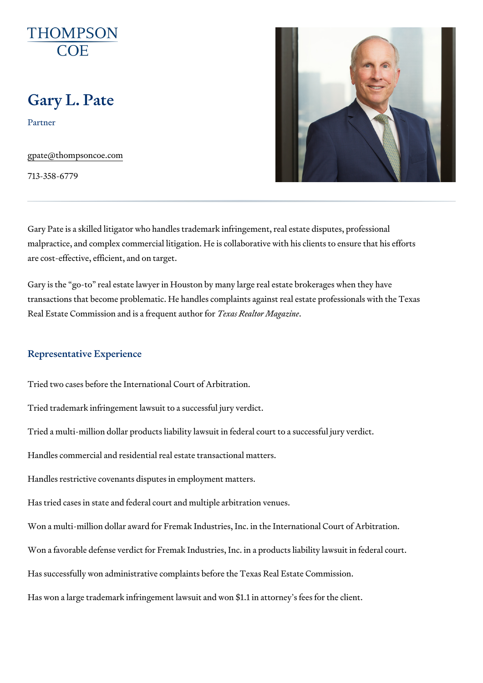# Gary L. Pate

Partner

[gpate@thompso](mailto:gpate@thompsoncoe.com)ncoe.com

713-358-6779

Gary Pate is a skilled litigator who handles trademark infringement, real e malpractice, and complex commercial litigation. He is collaborative with hi are cost-effective, efficient, and on target.

Gary is the go-to real estate lawyer in Houston by many large real estate transactions that become problematic. He handles complaints against real Real Estate Commission and is Tae for as the fact the mangular ine

#### Representative Experience

Tried two cases before the International Court of Arbitration.

Tried trademark infringement lawsuit to a successful jury verdict.

Tried a multi-million dollar products liability lawsuit in federal court to a s

Handles commercial and residential real estate transactional matters.

Handles restrictive covenants disputes in employment matters.

Has tried cases in state and federal court and multiple arbitration venues. Won a multi-million dollar award for Fremak Industries, Inc. in the International Won a favorable defense verdict for Fremak Industries, Inc. in a products Has successfully won administrative complaints before the Texas Real Estated Commission. Has won a large trademark infringement lawsuit and won \$1.1 in attorney s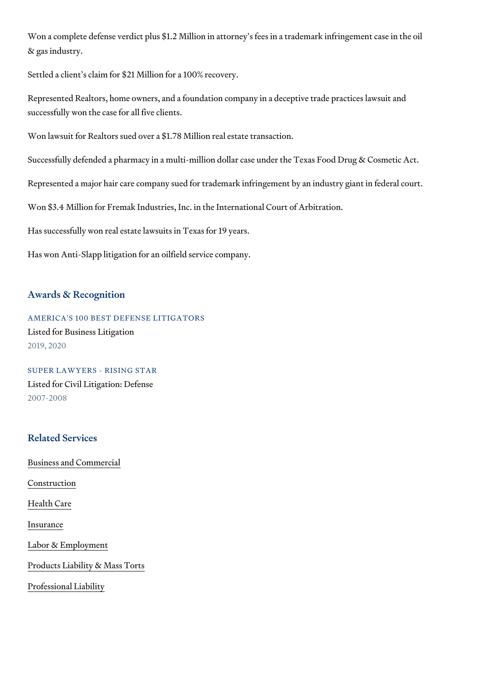Won a complete defense verdict plus \$1.2 Million in attorney s fees in a tr & gas industry.

Settled a client s claim for \$21 Million for a 100% recovery.

Represented Realtors, home owners, and a foundation company in a decept successfully won the case for all five clients.

Won lawsuit for Realtors sued over a \$1.78 Million real estate transaction. Successfully defended a pharmacy in a multi-million dollar case under the Represented a major hair care company sued for trademark infringement by Won \$3.4 Million for Fremak Industries, Inc. in the International Court of A Has successfully won real estate lawsuits in Texas for 19 years. Has won Anti-Slapp litigation for an oilfield service company.

#### Awards & Recognition

AMERICA'S 100 BEST DEFENSE LITIGATORS Listed for Business Litigation 2019, 2020

SUPER LAWYERS - RISING STAR Listed for Civil Litigation: Defense 2007-2008

#### Related Services

[Business and C](https://www.thompsoncoe.com/people/gary-l-pate/)ommercial

[Constru](https://www.thompsoncoe.com/people/gary-l-pate/)ction

[Health](https://www.thompsoncoe.com/people/gary-l-pate/) Care

[Insura](https://www.thompsoncoe.com/people/gary-l-pate/)nce

[Labor & Empl](https://www.thompsoncoe.com/people/gary-l-pate/)oyment

[Products Liability &](https://www.thompsoncoe.com/people/gary-l-pate/) Mass Torts

[Professional](https://www.thompsoncoe.com/people/gary-l-pate/) Liability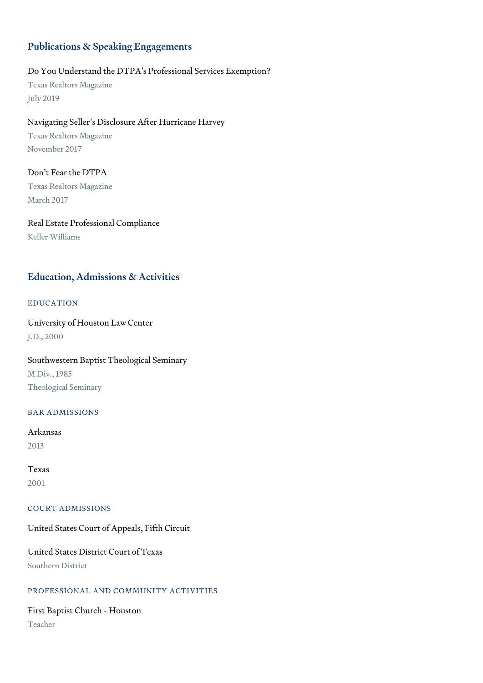# Publications & Speaking Engagements

### Do You Understand the DTPA's Professional Services Exemption?

Texas Realtors Magazine July 2019

# Navigating Seller's Disclosure After Hurricane Harvey

Texas Realtors Magazine November 2017

# Don't Fear the DTPA Texas Realtors Magazine March 2017

Real Estate Professional Compliance Keller Williams

# Education, Admissions & Activities

### EDUCATION

University of Houston Law Center J.D., 2000

Southwestern Baptist Theological Seminary M.Div., 1985 Theological Seminary

### BAR ADMISSIONS

Arkansas 2013

Texas 2001

#### COURT ADMISSIONS

United States Court of Appeals, Fifth Circuit

United States District Court of Texas Southern District

## PROFESSIONAL AND COMMUNITY ACTIVITIES

First Baptist Church - Houston Teacher